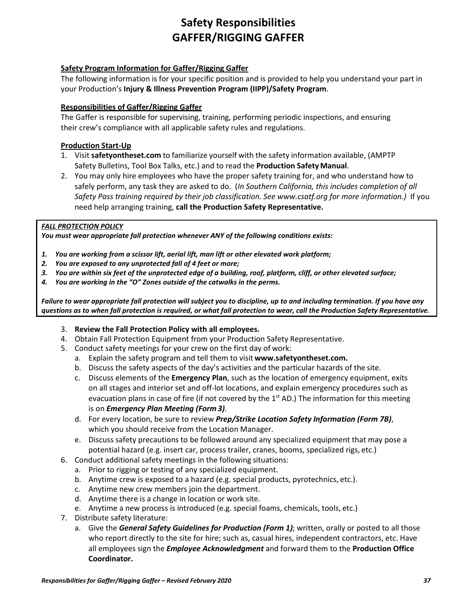# **Safety Responsibilities GAFFER/RIGGING GAFFER**

### **Safety Program Information for Gaffer/Rigging Gaffer**

The following information is for your specific position and is provided to help you understand your part in your Production's **Injury & Illness Prevention Program (IIPP)/Safety Program**.

### **Responsibilities of Gaffer/Rigging Gaffer**

The Gaffer is responsible for supervising, training, performing periodic inspections, and ensuring their crew's compliance with all applicable safety rules and regulations.

#### **Production Start-Up**

- 1. Visit **safetyontheset.com** to familiarize yourself with the safety information available, (AMPTP Safety Bulletins, Tool Box Talks, etc.) and to read the **Production SafetyManual**.
- 2. You may only hire employees who have the proper safety training for, and who understand how to safely perform, any task they are asked to do. (*In Southern California, this includes completion of all Safety Pass training required by their job classification. See www.csatf.org for more information.)* If you need help arranging training, **call the Production Safety Representative.**

#### *FALL PROTECTION POLICY*

*You must wear appropriate fall protection whenever ANY of the following conditions exists:*

- *1. You are working from a scissor lift, aerial lift, man lift or other elevated work platform;*
- *2. You are exposed to any unprotected fall of 4 feet or more;*
- *3. You are within six feet of the unprotected edge of a building, roof, platform, cliff, or other elevated surface;*
- *4. You are working in the "O" Zones outside of the catwalks in the perms.*

*Failure to wear appropriate fall protection will subject you to discipline, up to and including termination. If you have any questions as to when fall protection is required, or what fall protection to wear, call the Production Safety Representative.*

- 3. **Review the Fall Protection Policy with all employees.**
- 4. Obtain Fall Protection Equipment from your Production Safety Representative.
- 5. Conduct safety meetings for your crew on the first day of work:
	- a. Explain the safety program and tell them to visit **[www.safetyontheset.com.](http://www.safetyontheset.com/)**
	- b. Discuss the safety aspects of the day's activities and the particular hazards of the site.
	- c. Discuss elements of the **Emergency Plan**, such as the location of emergency equipment, exits on all stages and interior set and off-lot locations, and explain emergency procedures such as evacuation plans in case of fire (if not covered by the  $1<sup>st</sup>$  AD.) The information for this meeting is on *Emergency Plan Meeting (Form 3).*
	- d. For every location, be sure to review *Prep/Strike Location Safety Information (Form 7B)*, which you should receive from the Location Manager.
	- e. Discuss safety precautions to be followed around any specialized equipment that may pose a potential hazard (e.g. insert car, process trailer, cranes, booms, specialized rigs, etc.)
- 6. Conduct additional safety meetings in the following situations:
	- a. Prior to rigging or testing of any specialized equipment.
	- b. Anytime crew is exposed to a hazard (e.g. special products, pyrotechnics, etc.).
	- c. Anytime new crew members join the department.
	- d. Anytime there is a change in location or work site.
	- e. Anytime a new process is introduced (e.g. special foams, chemicals, tools, etc.)
- 7. Distribute safety literature:
	- a. Give the *General Safety Guidelines for Production (Form 1)*; written, orally or posted to all those who report directly to the site for hire; such as, casual hires, independent contractors, etc. Have all employees sign the *Employee Acknowledgment* and forward them to the **Production Office Coordinator.**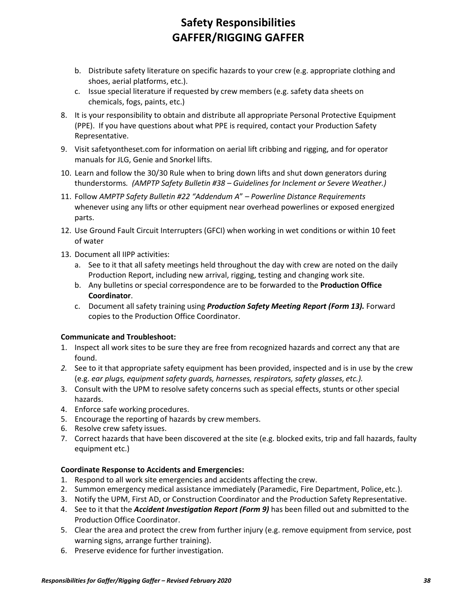# **Safety Responsibilities GAFFER/RIGGING GAFFER**

- b. Distribute safety literature on specific hazards to your crew (e.g. appropriate clothing and shoes, aerial platforms, etc.).
- c. Issue special literature if requested by crew members (e.g. safety data sheets on chemicals, fogs, paints, etc.)
- 8. It is your responsibility to obtain and distribute all appropriate Personal Protective Equipment (PPE). If you have questions about what PPE is required, contact your Production Safety Representative.
- 9. Visit safetyontheset.com for information on aerial lift cribbing and rigging, and for operator manuals for JLG, Genie and Snorkel lifts.
- 10. Learn and follow the 30/30 Rule when to bring down lifts and shut down generators during thunderstorms*. (AMPTP Safety Bulletin #38 – Guidelines for Inclement or Severe Weather.)*
- 11. Follow *AMPTP Safety Bulletin #22 "Addendum A*" *– Powerline Distance Requirements* whenever using any lifts or other equipment near overhead powerlines or exposed energized parts.
- 12. Use Ground Fault Circuit Interrupters (GFCI) when working in wet conditions or within 10 feet of water
- 13. Document all IIPP activities:
	- a. See to it that all safety meetings held throughout the day with crew are noted on the daily Production Report, including new arrival, rigging, testing and changing work site.
	- b. Any bulletins or special correspondence are to be forwarded to the **Production Office Coordinator**.
	- c. Document all safety training using *Production Safety Meeting Report (Form 13).* Forward copies to the Production Office Coordinator.

## **Communicate and Troubleshoot:**

- 1. Inspect all work sites to be sure they are free from recognized hazards and correct any that are found.
- *2.* See to it that appropriate safety equipment has been provided, inspected and is in use by the crew (e.g. *ear plugs, equipment safety guards, harnesses, respirators, safety glasses, etc.).*
- 3. Consult with the UPM to resolve safety concerns such as special effects, stunts or other special hazards.
- 4. Enforce safe working procedures.
- 5. Encourage the reporting of hazards by crew members.
- 6. Resolve crew safety issues.
- 7. Correct hazards that have been discovered at the site (e.g. blocked exits, trip and fall hazards, faulty equipment etc.)

## **Coordinate Response to Accidents and Emergencies:**

- 1. Respond to all work site emergencies and accidents affecting the crew.
- 2. Summon emergency medical assistance immediately (Paramedic, Fire Department, Police, etc.).
- 3. Notify the UPM, First AD, or Construction Coordinator and the Production Safety Representative.
- 4. See to it that the *Accident Investigation Report (Form 9)* has been filled out and submitted to the Production Office Coordinator.
- 5. Clear the area and protect the crew from further injury (e.g. remove equipment from service, post warning signs, arrange further training).
- 6. Preserve evidence for further investigation.